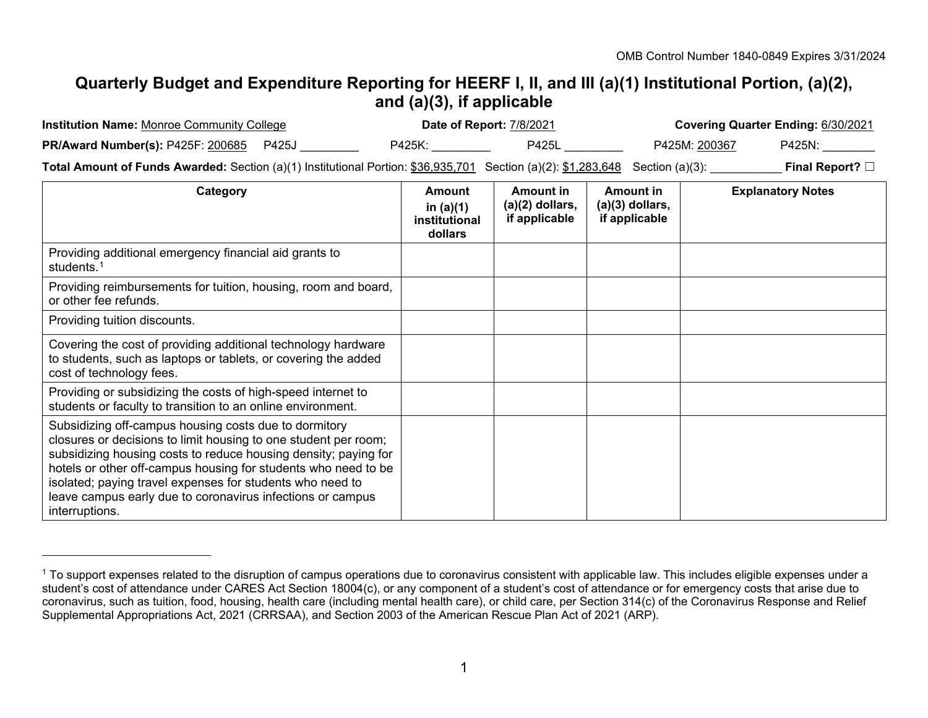## <span id="page-0-0"></span>**Quarterly Budget and Expenditure Reporting for HEERF I, II, and III (a)(1) Institutional Portion, (a)(2), and (a)(3), if applicable**

| <b>Institution Name: Monroe Community College</b>                                                                                                                                                                                                                                                                                                                                                          | Date of Report: 7/8/2021                          |                                                 | Covering Quarter Ending: 6/30/2021                     |                                       |                          |
|------------------------------------------------------------------------------------------------------------------------------------------------------------------------------------------------------------------------------------------------------------------------------------------------------------------------------------------------------------------------------------------------------------|---------------------------------------------------|-------------------------------------------------|--------------------------------------------------------|---------------------------------------|--------------------------|
| <b>PR/Award Number(s): P425F: 200685 P425J</b>                                                                                                                                                                                                                                                                                                                                                             |                                                   | P425L __________<br>P425K: 2004 2014            |                                                        | P425M: <u>200367</u><br><b>P425N:</b> |                          |
| Total Amount of Funds Awarded: Section (a)(1) Institutional Portion: \$36,935,701 Section (a)(2): \$1,283,648 Section (a)(3): ___________                                                                                                                                                                                                                                                                  |                                                   |                                                 |                                                        |                                       | Final Report? $\square$  |
| Category                                                                                                                                                                                                                                                                                                                                                                                                   | Amount<br>in $(a)(1)$<br>institutional<br>dollars | Amount in<br>$(a)(2)$ dollars,<br>if applicable | <b>Amount in</b><br>$(a)(3)$ dollars,<br>if applicable |                                       | <b>Explanatory Notes</b> |
| Providing additional emergency financial aid grants to<br>students. <sup>1</sup>                                                                                                                                                                                                                                                                                                                           |                                                   |                                                 |                                                        |                                       |                          |
| Providing reimbursements for tuition, housing, room and board,<br>or other fee refunds.                                                                                                                                                                                                                                                                                                                    |                                                   |                                                 |                                                        |                                       |                          |
| Providing tuition discounts.                                                                                                                                                                                                                                                                                                                                                                               |                                                   |                                                 |                                                        |                                       |                          |
| Covering the cost of providing additional technology hardware<br>to students, such as laptops or tablets, or covering the added<br>cost of technology fees.                                                                                                                                                                                                                                                |                                                   |                                                 |                                                        |                                       |                          |
| Providing or subsidizing the costs of high-speed internet to<br>students or faculty to transition to an online environment.                                                                                                                                                                                                                                                                                |                                                   |                                                 |                                                        |                                       |                          |
| Subsidizing off-campus housing costs due to dormitory<br>closures or decisions to limit housing to one student per room;<br>subsidizing housing costs to reduce housing density; paying for<br>hotels or other off-campus housing for students who need to be<br>isolated; paying travel expenses for students who need to<br>leave campus early due to coronavirus infections or campus<br>interruptions. |                                                   |                                                 |                                                        |                                       |                          |

-

<sup>&</sup>lt;sup>1</sup> To support expenses related to the disruption of campus operations due to coronavirus consistent with applicable law. This includes eligible expenses under a student's cost of attendance under CARES Act Section 18004(c), or any component of a student's cost of attendance or for emergency costs that arise due to coronavirus, such as tuition, food, housing, health care (including mental health care), or child care, per Section 314(c) of the Coronavirus Response and Relief Supplemental Appropriations Act, 2021 (CRRSAA), and Section 2003 of the American Rescue Plan Act of 2021 (ARP).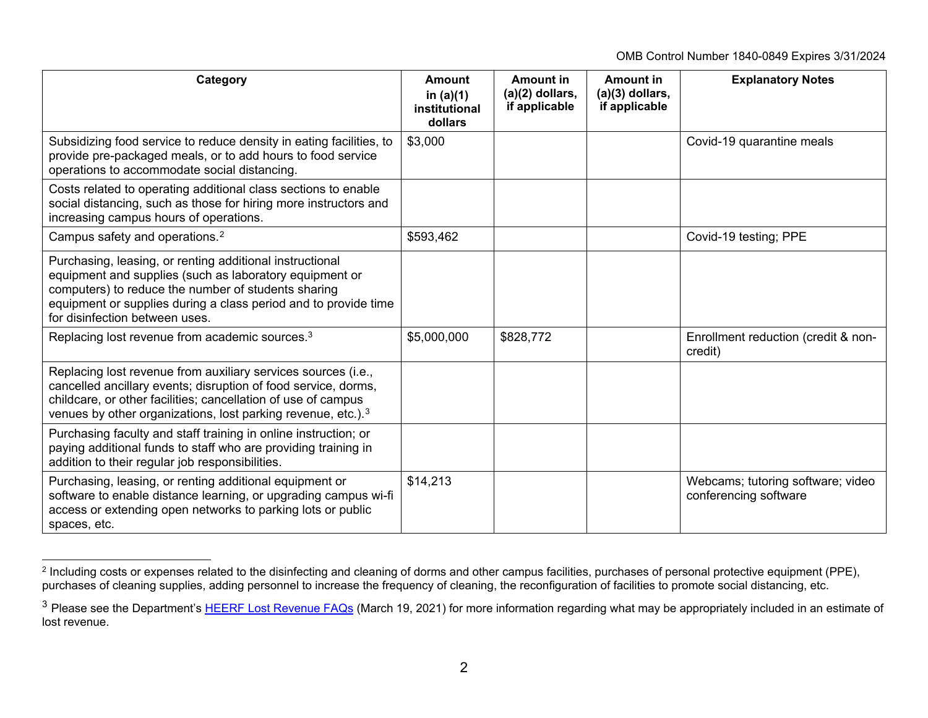<span id="page-1-1"></span><span id="page-1-0"></span>OMB Control Number 1840-0849 Expires 3/31/2024

| Category                                                                                                                                                                                                                                                                        | Amount<br>in $(a)(1)$<br>institutional<br>dollars | <b>Amount in</b><br>$(a)(2)$ dollars,<br>if applicable | <b>Amount in</b><br>$(a)(3)$ dollars,<br>if applicable | <b>Explanatory Notes</b>                                   |
|---------------------------------------------------------------------------------------------------------------------------------------------------------------------------------------------------------------------------------------------------------------------------------|---------------------------------------------------|--------------------------------------------------------|--------------------------------------------------------|------------------------------------------------------------|
| Subsidizing food service to reduce density in eating facilities, to<br>provide pre-packaged meals, or to add hours to food service<br>operations to accommodate social distancing.                                                                                              | \$3,000                                           |                                                        |                                                        | Covid-19 quarantine meals                                  |
| Costs related to operating additional class sections to enable<br>social distancing, such as those for hiring more instructors and<br>increasing campus hours of operations.                                                                                                    |                                                   |                                                        |                                                        |                                                            |
| Campus safety and operations. <sup>2</sup>                                                                                                                                                                                                                                      | \$593,462                                         |                                                        |                                                        | Covid-19 testing; PPE                                      |
| Purchasing, leasing, or renting additional instructional<br>equipment and supplies (such as laboratory equipment or<br>computers) to reduce the number of students sharing<br>equipment or supplies during a class period and to provide time<br>for disinfection between uses. |                                                   |                                                        |                                                        |                                                            |
| Replacing lost revenue from academic sources. <sup>3</sup>                                                                                                                                                                                                                      | \$5,000,000                                       | \$828,772                                              |                                                        | Enrollment reduction (credit & non-<br>credit)             |
| Replacing lost revenue from auxiliary services sources (i.e.,<br>cancelled ancillary events; disruption of food service, dorms,<br>childcare, or other facilities; cancellation of use of campus<br>venues by other organizations, lost parking revenue, etc.). <sup>3</sup>    |                                                   |                                                        |                                                        |                                                            |
| Purchasing faculty and staff training in online instruction; or<br>paying additional funds to staff who are providing training in<br>addition to their regular job responsibilities.                                                                                            |                                                   |                                                        |                                                        |                                                            |
| Purchasing, leasing, or renting additional equipment or<br>software to enable distance learning, or upgrading campus wi-fi<br>access or extending open networks to parking lots or public<br>spaces, etc.                                                                       | \$14,213                                          |                                                        |                                                        | Webcams; tutoring software; video<br>conferencing software |

<sup>-</sup> $^{\rm 2}$  Including costs or expenses related to the disinfecting and cleaning of dorms and other campus facilities, purchases of personal protective equipment (PPE), purchases of cleaning supplies, adding personnel to increase the frequency of cleaning, the reconfiguration of facilities to promote social distancing, etc.

<sup>&</sup>lt;sup>3</sup> Please see the Department's [HEERF Lost Revenue FAQs](https://www2.ed.gov/about/offices/list/ope/heerflostrevenuefaqs.pdf) (March 19, 2021) for more information regarding what may be appropriately included in an estimate of lost revenue.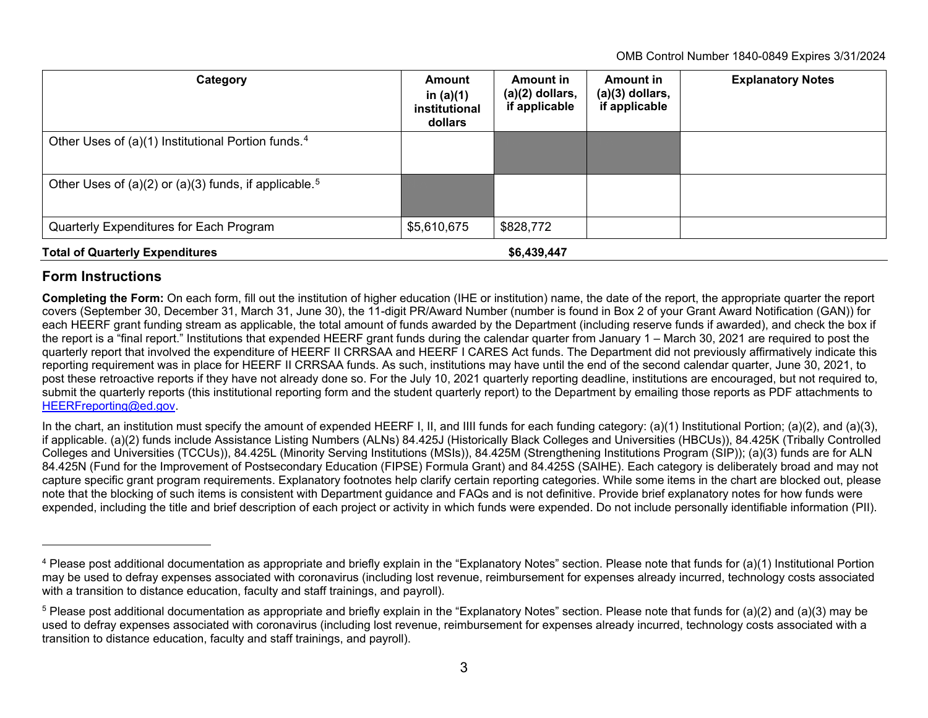<span id="page-2-1"></span><span id="page-2-0"></span>OMB Control Number 1840-0849 Expires 3/31/2024

| Category                                                          | Amount<br>in $(a)(1)$<br>institutional<br>dollars | <b>Amount in</b><br>$(a)(2)$ dollars,<br>if applicable | <b>Amount in</b><br>$(a)(3)$ dollars,<br>if applicable | <b>Explanatory Notes</b> |
|-------------------------------------------------------------------|---------------------------------------------------|--------------------------------------------------------|--------------------------------------------------------|--------------------------|
| Other Uses of (a)(1) Institutional Portion funds. <sup>4</sup>    |                                                   |                                                        |                                                        |                          |
| Other Uses of (a)(2) or (a)(3) funds, if applicable. <sup>5</sup> |                                                   |                                                        |                                                        |                          |
| Quarterly Expenditures for Each Program                           | \$5,610,675                                       | \$828,772                                              |                                                        |                          |
| <b>Total of Quarterly Expenditures</b>                            |                                                   | \$6,439,447                                            |                                                        |                          |

## **Form Instructions**

j

**Completing the Form:** On each form, fill out the institution of higher education (IHE or institution) name, the date of the report, the appropriate quarter the report covers (September 30, December 31, March 31, June 30), the 11-digit PR/Award Number (number is found in Box 2 of your Grant Award Notification (GAN)) for each HEERF grant funding stream as applicable, the total amount of funds awarded by the Department (including reserve funds if awarded), and check the box if the report is a "final report." Institutions that expended HEERF grant funds during the calendar quarter from January 1 – March 30, 2021 are required to post the quarterly report that involved the expenditure of HEERF II CRRSAA and HEERF I CARES Act funds. The Department did not previously affirmatively indicate this reporting requirement was in place for HEERF II CRRSAA funds. As such, institutions may have until the end of the second calendar quarter, June 30, 2021, to post these retroactive reports if they have not already done so. For the July 10, 2021 quarterly reporting deadline, institutions are encouraged, but not required to, submit the quarterly reports (this institutional reporting form and the student quarterly report) to the Department by emailing those reports as PDF attachments to [HEERFreporting@ed.gov.](mailto:HEERFreporting@ed.gov)

In the chart, an institution must specify the amount of expended HEERF I, II, and IIII funds for each funding category: (a)(1) Institutional Portion; (a)(2), and (a)(3), if applicable. (a)(2) funds include Assistance Listing Numbers (ALNs) 84.425J (Historically Black Colleges and Universities (HBCUs)), 84.425K (Tribally Controlled Colleges and Universities (TCCUs)), 84.425L (Minority Serving Institutions (MSIs)), 84.425M (Strengthening Institutions Program (SIP)); (a)(3) funds are for ALN 84.425N (Fund for the Improvement of Postsecondary Education (FIPSE) Formula Grant) and 84.425S (SAIHE). Each category is deliberately broad and may not capture specific grant program requirements. Explanatory footnotes help clarify certain reporting categories. While some items in the chart are blocked out, please note that the blocking of such items is consistent with Department guidance and FAQs and is not definitive. Provide brief explanatory notes for how funds were expended, including the title and brief description of each project or activity in which funds were expended. Do not include personally identifiable information (PII).

<sup>&</sup>lt;sup>4</sup> Please post additional documentation as appropriate and briefly explain in the "Explanatory Notes" section. Please note that funds for (a)(1) Institutional Portion may be used to defray expenses associated with coronavirus (including lost revenue, reimbursement for expenses already incurred, technology costs associated with a transition to distance education, faculty and staff trainings, and payroll).

<sup>5</sup> Please post additional documentation as appropriate and briefly explain in the "Explanatory Notes" section. Please note that funds for (a)(2) and (a)(3) may be used to defray expenses associated with coronavirus (including lost revenue, reimbursement for expenses already incurred, technology costs associated with a transition to distance education, faculty and staff trainings, and payroll).